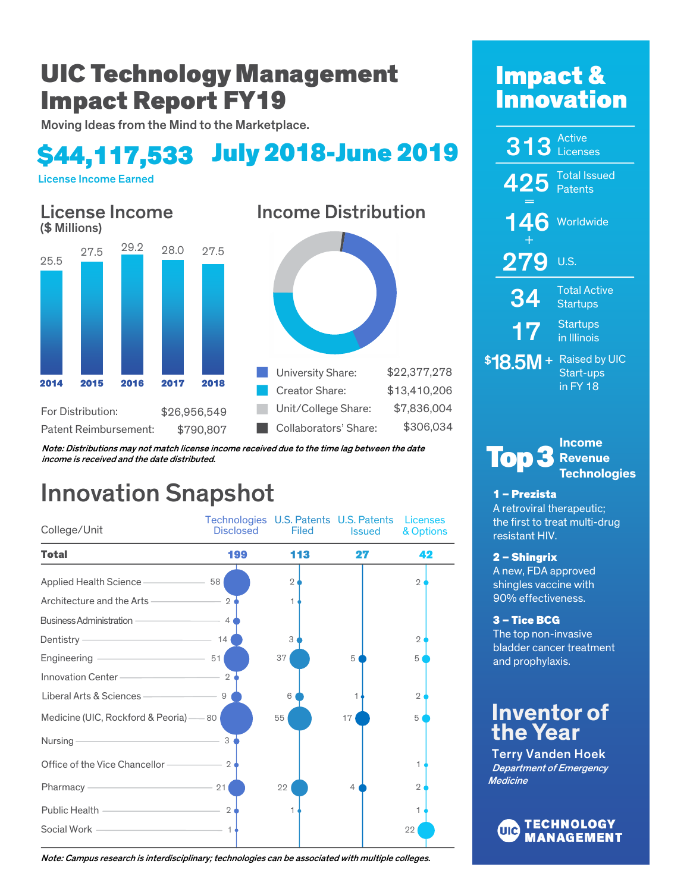# UIC Technology Management Impact Report FY19

Moving Ideas from the Mind to the Marketplace.

# \$44,117,533 July 2018-June 2019

License Income Earned



Note: Distributions may not match license income received due to the time lag between the date income is received and the date distributed.

# Innovation Snapshot

| College/Unit                                                                                | Technologies U.S. Patents U.S. Patents<br><b>Disclosed</b> | Filed          | <b>Issued</b> | Licenses<br>& Options |
|---------------------------------------------------------------------------------------------|------------------------------------------------------------|----------------|---------------|-----------------------|
| Total                                                                                       | 199                                                        | 113            | 27            | 42                    |
| Applied Health Science - 58                                                                 |                                                            | $\overline{2}$ |               | $\mathbf{2}$          |
| Architecture and the Arts ————————                                                          | $\overline{2}$                                             | 1              |               |                       |
| <b>Business Administration -</b>                                                            | $-4$                                                       |                |               |                       |
| $\sim$ 14<br>Dentistry $-$                                                                  |                                                            | 3              |               | $\mathbf{2}$          |
| Engineering - 51                                                                            |                                                            | 37             | 5             | 5                     |
| Innovation Center 2                                                                         |                                                            |                |               |                       |
| $\sim$ 9<br>Liberal Arts & Sciences-                                                        |                                                            | 6              |               | $\mathbf{2}$          |
| Medicine (UIC, Rockford & Peoria) -80                                                       |                                                            | 55             | 17            | 5                     |
| the control of the control of the control of the control of the control of<br>Nursing       | 3                                                          |                |               |                       |
| Office of the Vice Chancellor ———————————————————— 2                                        |                                                            |                |               | 1                     |
| Pharmacy 21                                                                                 |                                                            | 22             | 4             | $\mathbf{2}$          |
| Public Health 2                                                                             |                                                            | 1              |               | 1                     |
| the control of the control of the control of the control of the control of<br>Social Work - | $\overline{1}$                                             |                |               | 22                    |

# Impact & **Innovation**

| 313               | <b>Active</b><br>Licenses                       |
|-------------------|-------------------------------------------------|
| 425 Patents       | <b>Total Issued</b>                             |
| 146               | Worldwide                                       |
| <u> 279</u>       | U.S.                                            |
| <b>34</b>         | <b>Total Active</b><br><b>Startups</b>          |
| 17                | <b>Startups</b><br>in Illinois                  |
| \$ <b>18.5M</b> + | <b>Raised by UIC</b><br>Start-ups<br>in $FY$ 18 |

#### **Income Revenue Technologies Top**

## 1 – Prezista

A retroviral therapeutic; the first to treat multi-drug resistant HIV.

## 2 – Shingrix

A new, FDA approved shingles vaccine with 90% effectiveness.

## 3 – Tice BCG

The top non-invasive bladder cancer treatment and prophylaxis.

## **Inventor of the Year**

Terry Vanden Hoek Department of Emergency **Medicine** 



Note: Campus research is interdisciplinary; technologies can be associated with multiple colleges.